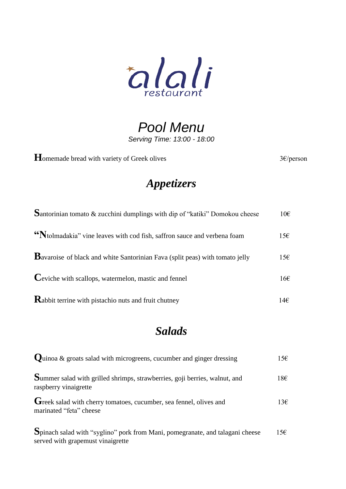

*Pool Menu Serving Time: 13:00 - 18:00* 

Homemade bread with variety of Greek olives 3€/person

### *Appetizers*

| <b>S</b> antorinian tomato & zucchini dumplings with dip of "katiki" Domokou cheese  | $10\epsilon$    |
|--------------------------------------------------------------------------------------|-----------------|
| "Ntolmadakia" vine leaves with cod fish, saffron sauce and verbena foam              | $15\varepsilon$ |
| <b>B</b> avaroise of black and white Santorinian Fava (split peas) with tomato jelly | $15\varepsilon$ |
| Ceviche with scallops, watermelon, mastic and fennel                                 | $16\varepsilon$ |
| <b>Rabbit terrine with pistachio nuts and fruit chutney</b>                          | 14€             |

### *Salads*

| <b>Quinoa &amp; groats salad with microgreens, cucumber and ginger dressing</b>                                    | 15E |
|--------------------------------------------------------------------------------------------------------------------|-----|
| Summer salad with grilled shrimps, strawberries, goji berries, walnut, and<br>raspberry vinaigrette                | 18€ |
| Greek salad with cherry tomatoes, cucumber, sea fennel, olives and<br>marinated "feta" cheese                      | 13E |
| Spinach salad with "syglino" pork from Mani, pomegranate, and talagani cheese<br>served with grapemust vinaigrette | 15E |